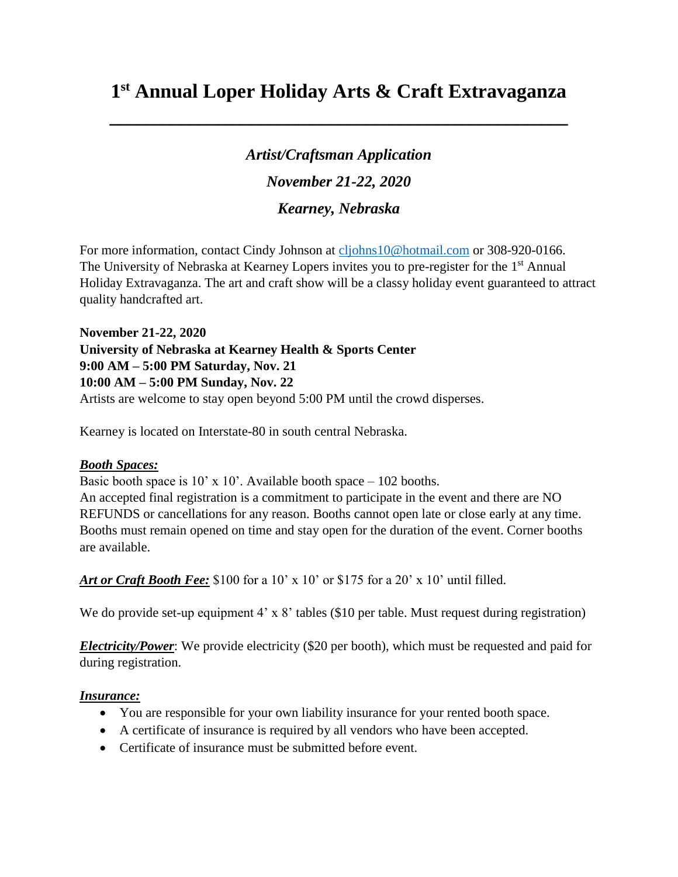# **1 st Annual Loper Holiday Arts & Craft Extravaganza**

**\_\_\_\_\_\_\_\_\_\_\_\_\_\_\_\_\_\_\_\_\_\_\_\_\_\_\_\_\_\_\_\_\_\_\_\_\_\_\_\_\_\_\_\_\_\_**

*Artist/Craftsman Application November 21-22, 2020 Kearney, Nebraska*

For more information, contact Cindy Johnson at [cljohns10@hotmail.com](mailto:cljohns10@hotmail.com) or 308-920-0166. The University of Nebraska at Kearney Lopers invites you to pre-register for the 1<sup>st</sup> Annual Holiday Extravaganza. The art and craft show will be a classy holiday event guaranteed to attract quality handcrafted art.

**November 21-22, 2020 University of Nebraska at Kearney Health & Sports Center 9:00 AM – 5:00 PM Saturday, Nov. 21 10:00 AM – 5:00 PM Sunday, Nov. 22** Artists are welcome to stay open beyond 5:00 PM until the crowd disperses.

Kearney is located on Interstate-80 in south central Nebraska.

#### *Booth Spaces:*

Basic booth space is  $10'$  x  $10'$ . Available booth space –  $102$  booths. An accepted final registration is a commitment to participate in the event and there are NO REFUNDS or cancellations for any reason. Booths cannot open late or close early at any time. Booths must remain opened on time and stay open for the duration of the event. Corner booths are available.

*Art or Craft Booth Fee:* \$100 for a 10' x 10' or \$175 for a 20' x 10' until filled.

We do provide set-up equipment 4' x 8' tables (\$10 per table. Must request during registration)

*Electricity/Power*: We provide electricity (\$20 per booth), which must be requested and paid for during registration.

### *Insurance:*

- You are responsible for your own liability insurance for your rented booth space.
- A certificate of insurance is required by all vendors who have been accepted.
- Certificate of insurance must be submitted before event.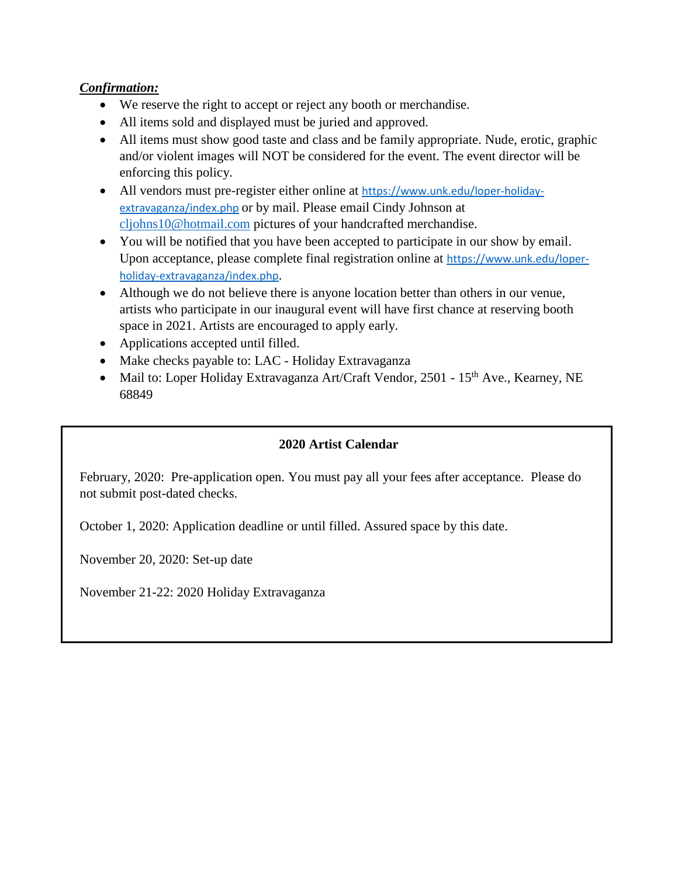## *Confirmation:*

- We reserve the right to accept or reject any booth or merchandise.
- All items sold and displayed must be juried and approved.
- All items must show good taste and class and be family appropriate. Nude, erotic, graphic and/or violent images will NOT be considered for the event. The event director will be enforcing this policy.
- All vendors must pre-register either online at [https://www.unk.edu/loper-holiday](https://www.unk.edu/loper-holiday-extravaganza/index.php)[extravaganza/index.php](https://www.unk.edu/loper-holiday-extravaganza/index.php) or by mail. Please email Cindy Johnson at [cljohns10@hotmail.com](mailto:cljohns10@hotmail.com) pictures of your handcrafted merchandise.
- You will be notified that you have been accepted to participate in our show by email. Upon acceptance, please complete final registration online at [https://www.unk.edu/loper](https://www.unk.edu/loper-holiday-extravaganza/index.php)[holiday-extravaganza/index.php](https://www.unk.edu/loper-holiday-extravaganza/index.php).
- Although we do not believe there is anyone location better than others in our venue, artists who participate in our inaugural event will have first chance at reserving booth space in 2021. Artists are encouraged to apply early.
- Applications accepted until filled.
- Make checks payable to: LAC Holiday Extravaganza
- Mail to: Loper Holiday Extravaganza Art/Craft Vendor, 2501 15<sup>th</sup> Ave., Kearney, NE 68849

### **2020 Artist Calendar**

February, 2020: Pre-application open. You must pay all your fees after acceptance. Please do not submit post-dated checks.

October 1, 2020: Application deadline or until filled. Assured space by this date.

November 20, 2020: Set-up date

November 21-22: 2020 Holiday Extravaganza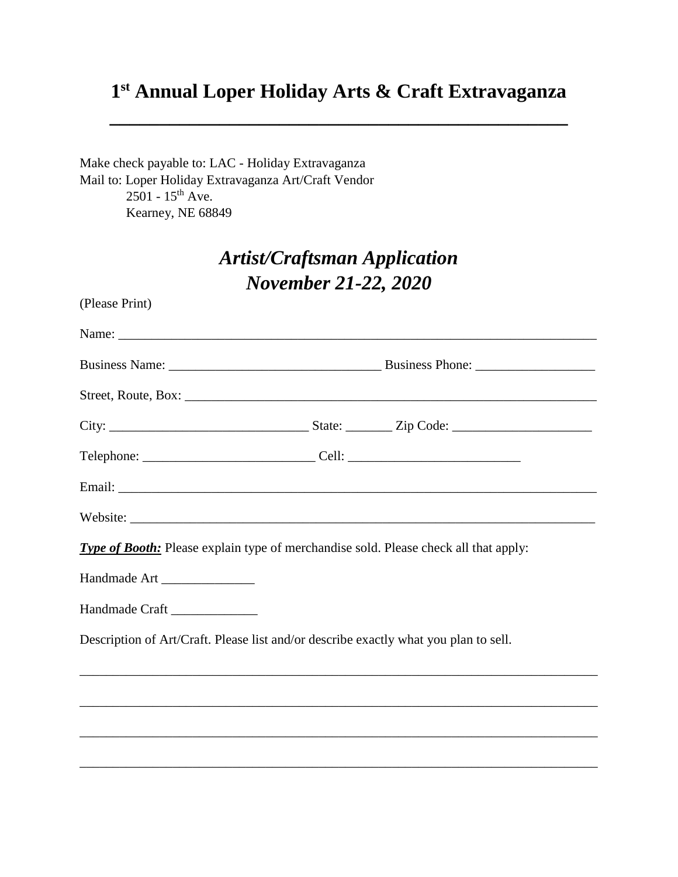# **1 st Annual Loper Holiday Arts & Craft Extravaganza**

**\_\_\_\_\_\_\_\_\_\_\_\_\_\_\_\_\_\_\_\_\_\_\_\_\_\_\_\_\_\_\_\_\_\_\_\_\_\_\_\_\_\_\_\_\_\_**

Make check payable to: LAC - Holiday Extravaganza Mail to: Loper Holiday Extravaganza Art/Craft Vendor  $2501 - 15$ <sup>th</sup> Ave. Kearney, NE 68849

# *Artist/Craftsman Application November 21-22, 2020*

| (Please Print)                                                                              |  |
|---------------------------------------------------------------------------------------------|--|
|                                                                                             |  |
|                                                                                             |  |
|                                                                                             |  |
|                                                                                             |  |
| Telephone: ___________________________________Cell: ____________________________            |  |
|                                                                                             |  |
|                                                                                             |  |
| <b>Type of Booth:</b> Please explain type of merchandise sold. Please check all that apply: |  |
| Handmade Art ________________                                                               |  |
| Handmade Craft                                                                              |  |
| Description of Art/Craft. Please list and/or describe exactly what you plan to sell.        |  |
|                                                                                             |  |
|                                                                                             |  |
|                                                                                             |  |
|                                                                                             |  |
|                                                                                             |  |